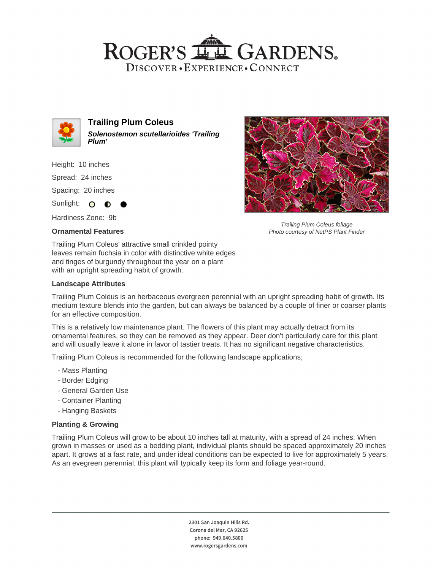## ROGER'S LL GARDENS. DISCOVER · EXPERIENCE · CONNECT



**Trailing Plum Coleus Solenostemon scutellarioides 'Trailing Plum'**

Height: 10 inches

Spread: 24 inches

Spacing: 20 inches

Sunlight: O  $\bullet$ 

Hardiness Zone: 9b

### **Ornamental Features**



Trailing Plum Coleus foliage Photo courtesy of NetPS Plant Finder

Trailing Plum Coleus' attractive small crinkled pointy leaves remain fuchsia in color with distinctive white edges and tinges of burgundy throughout the year on a plant with an upright spreading habit of growth.

### **Landscape Attributes**

Trailing Plum Coleus is an herbaceous evergreen perennial with an upright spreading habit of growth. Its medium texture blends into the garden, but can always be balanced by a couple of finer or coarser plants for an effective composition.

This is a relatively low maintenance plant. The flowers of this plant may actually detract from its ornamental features, so they can be removed as they appear. Deer don't particularly care for this plant and will usually leave it alone in favor of tastier treats. It has no significant negative characteristics.

Trailing Plum Coleus is recommended for the following landscape applications;

- Mass Planting
- Border Edging
- General Garden Use
- Container Planting
- Hanging Baskets

### **Planting & Growing**

Trailing Plum Coleus will grow to be about 10 inches tall at maturity, with a spread of 24 inches. When grown in masses or used as a bedding plant, individual plants should be spaced approximately 20 inches apart. It grows at a fast rate, and under ideal conditions can be expected to live for approximately 5 years. As an evegreen perennial, this plant will typically keep its form and foliage year-round.

> 2301 San Joaquin Hills Rd. Corona del Mar, CA 92625 phone: 949.640.5800 www.rogersgardens.com